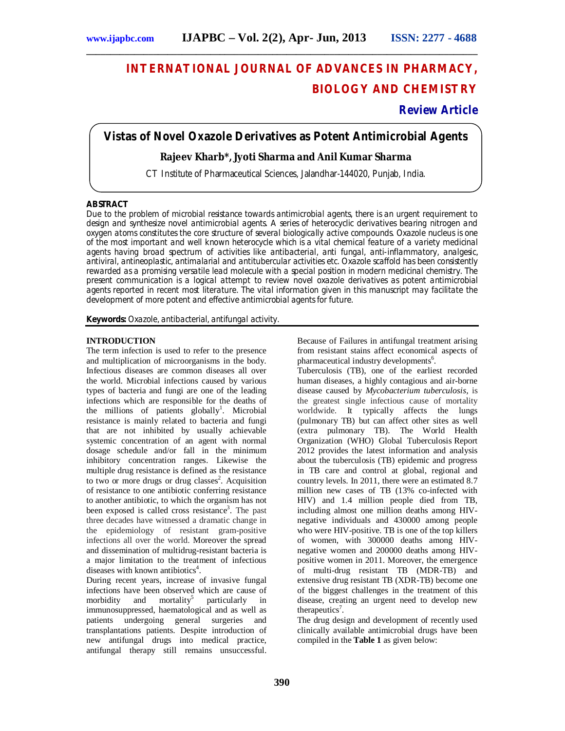# **INTERNATIONAL JOURNAL OF ADVANCES IN PHARMACY, BIOLOGY AND CHEMISTRY**

# **Review Article**

# **Vistas of Novel Oxazole Derivatives as Potent Antimicrobial Agents**

**\_\_\_\_\_\_\_\_\_\_\_\_\_\_\_\_\_\_\_\_\_\_\_\_\_\_\_\_\_\_\_\_\_\_\_\_\_\_\_\_\_\_\_\_\_\_\_\_\_\_\_\_\_\_\_\_\_\_\_\_\_\_\_\_\_\_\_\_\_\_\_\_\_\_\_\_\_\_\_\_\_\_**

## **Rajeev Kharb\*, Jyoti Sharma and Anil Kumar Sharma**

CT Institute of Pharmaceutical Sciences, Jalandhar-144020, Punjab, India.

## **ABSTRACT**

Due to the problem of microbial resistance towards antimicrobial agents, there is an urgent requirement to design and synthesize novel antimicrobial agents. A series of heterocyclic derivatives bearing nitrogen and oxygen atoms constitutes the core structure of several biologically active compounds. Oxazole nucleus is one of the most important and well known heterocycle which is a vital chemical feature of a variety medicinal agents having broad spectrum of activities like antibacterial, anti fungal, anti-inflammatory, analgesic, antiviral, antineoplastic, antimalarial and antitubercular activities etc. Oxazole scaffold has been consistently rewarded as a promising versatile lead molecule with a special position in modern medicinal chemistry. The present communication is a logical attempt to review novel oxazole derivatives as potent antimicrobial agents reported in recent most literature. The vital information given in this manuscript may facilitate the development of more potent and effective antimicrobial agents for future.

**Keywords:** Oxazole, antibacterial, antifungal activity.

## **INTRODUCTION**

The term infection is used to refer to the presence and multiplication of microorganisms in the body. Infectious diseases are common diseases all over the world. Microbial infections caused by various types of bacteria and fungi are one of the leading infections which are responsible for the deaths of the millions of patients globally<sup>1</sup>. Microbial resistance is mainly related to bacteria and fungi that are not inhibited by usually achievable systemic concentration of an agent with normal dosage schedule and/or fall in the minimum inhibitory concentration ranges. Likewise the multiple drug resistance is defined as the resistance to two or more drugs or drug classes<sup>2</sup>. Acquisition of resistance to one antibiotic conferring resistance to another antibiotic, to which the organism has not been exposed is called cross resistance<sup>3</sup>. The past three decades have witnessed a dramatic change in the epidemiology of resistant gram-positive infections all over the world. Moreover the spread and dissemination of multidrug-resistant bacteria is a major limitation to the treatment of infectious diseases with known antibiotics<sup>4</sup>.

During recent years, increase of invasive fungal infections have been observed which are cause of morbidity and mortality<sup>5</sup> particularly in immunosuppressed, haematological and as well as patients undergoing general surgeries and transplantations patients. Despite introduction of new antifungal drugs into medical practice, antifungal therapy still remains unsuccessful. Because of Failures in antifungal treatment arising from resistant stains affect economical aspects of pharmaceutical industry developments<sup>6</sup>.

Tuberculosis (TB), one of the earliest recorded human diseases, a highly contagious and air-borne disease caused by *Mycobacterium tuberculosis*, is the greatest single infectious cause of mortality worldwide. It typically affects the lungs (pulmonary TB) but can affect other sites as well (extra pulmonary TB). The World Health Organization (WHO) Global Tuberculosis Report 2012 provides the latest information and analysis about the tuberculosis (TB) epidemic and progress in TB care and control at global, regional and country levels. In 2011, there were an estimated 8.7 million new cases of TB (13% co-infected with HIV) and 1.4 million people died from TB, including almost one million deaths among HIVnegative individuals and 430000 among people who were HIV-positive. TB is one of the top killers of women, with 300000 deaths among HIVnegative women and 200000 deaths among HIVpositive women in 2011. Moreover, the emergence of multi-drug resistant TB (MDR-TB) and extensive drug resistant TB (XDR-TB) become one of the biggest challenges in the treatment of this disease, creating an urgent need to develop new therapeutics<sup>7</sup>.

The drug design and development of recently used clinically available antimicrobial drugs have been compiled in the **Table 1** as given below: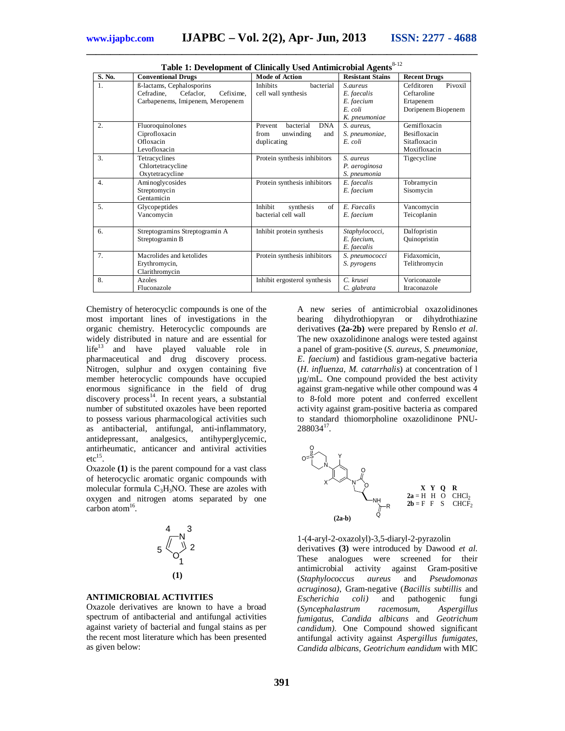| Table 1: Development of Clinically Used Antimicrobial Agents |                                                                   |                                                                               |                                              |                                                              |
|--------------------------------------------------------------|-------------------------------------------------------------------|-------------------------------------------------------------------------------|----------------------------------------------|--------------------------------------------------------------|
| S. No.                                                       | <b>Conventional Drugs</b>                                         | <b>Mode of Action</b>                                                         | <b>Resistant Stains</b>                      | <b>Recent Drugs</b>                                          |
| 1.                                                           | ß-lactams, Cephalosporins<br>Cefixime,<br>Cefradine.<br>Cefaclor. | bacterial<br><b>Inhibits</b><br>cell wall synthesis                           | S.aureus<br>E. faecalis                      | Pivoxil<br>Cefditoren<br>Ceftaroline                         |
|                                                              | Carbapenems, Imipenem, Meropenem                                  |                                                                               | E. faecium<br>E. coli<br>K. pneumoniae       | Ertapenem<br>Doripenem Biopenem                              |
| 2.                                                           | Fluoroquinolones<br>Ciprofloxacin<br>Ofloxacin<br>Levofloxacin    | bacterial<br><b>DNA</b><br>Prevent<br>unwinding<br>from<br>and<br>duplicating | S. aureus.<br>S. pneumoniae,<br>E. coli      | Gemifloxacin<br>Besifloxacin<br>Sitafloxacin<br>Moxifloxacin |
| 3.                                                           | Tetracyclines<br>Chlortetracycline<br>Oxytetracycline             | Protein synthesis inhibitors                                                  | S. aureus<br>P. aeroginosa<br>S. pneumonia   | Tigecycline                                                  |
| 4.                                                           | Aminoglycosides<br>Streptomycin<br>Gentamicin                     | Protein synthesis inhibitors                                                  | E. faecalis<br>E. faecium                    | Tobramycin<br>Sisomycin                                      |
| 5.                                                           | Glycopeptides<br>Vancomycin                                       | Inhibit<br>of<br>synthesis<br>bacterial cell wall                             | E. Faecalis<br>E. faecium                    | Vancomycin<br>Teicoplanin                                    |
| 6.                                                           | Streptogramins Streptogramin A<br>Streptogramin B                 | Inhibit protein synthesis                                                     | Staphylococci,<br>E. faecium,<br>E. faecalis | Dalfopristin<br>Quinopristin                                 |
| 7 <sub>1</sub>                                               | Macrolides and ketolides<br>Erythromycin,<br>Clarithromycin       | Protein synthesis inhibitors                                                  | S. pneumococci<br>S. pyrogens                | Fidaxomicin,<br>Telithromycin                                |
| 8.                                                           | Azoles<br>Fluconazole                                             | Inhibit ergosterol synthesis                                                  | C. krusei<br>C. glabrata                     | Voriconazole<br>Itraconazole                                 |

**\_\_\_\_\_\_\_\_\_\_\_\_\_\_\_\_\_\_\_\_\_\_\_\_\_\_\_\_\_\_\_\_\_\_\_\_\_\_\_\_\_\_\_\_\_\_\_\_\_\_\_\_\_\_\_\_\_\_\_\_\_\_\_\_\_\_\_\_\_\_\_\_\_\_\_\_\_\_\_\_\_\_** Table 1: Development of Clinically Used Antimicrobial Agents<sup>8-12</sup>

Chemistry of heterocyclic compounds is one of the most important lines of investigations in the organic chemistry. Heterocyclic compounds are widely distributed in nature and are essential for life<sup>13</sup> and have played valuable role in pharmaceutical and drug discovery process. Nitrogen, sulphur and oxygen containing five member heterocyclic compounds have occupied enormous significance in the field of drug discovery process<sup>14</sup>. In recent years, a substantial number of substituted oxazoles have been reported to possess various pharmacological activities such as antibacterial, antifungal, anti-inflammatory, antidepressant, analgesics, antihyperglycemic, antirheumatic, anticancer and antiviral activities  $etc<sup>15</sup>$ .

Oxazole **(1)** is the parent compound for a vast class of heterocyclic aromatic organic compounds with molecular formula  $C_3H_3NO$ . These are azoles with oxygen and nitrogen atoms separated by one carbon atom $^{16}$ .



### **ANTIMICROBIAL ACTIVITIES**

Oxazole derivatives are known to have a broad spectrum of antibacterial and antifungal activities against variety of bacterial and fungal stains as per the recent most literature which has been presented as given below:

A new series of antimicrobial oxazolidinones bearing dihydrothiopyran or dihydrothiazine derivatives **(2a-2b)** were prepared by Renslo *et al*. The new oxazolidinone analogs were tested against a panel of gram-positive (*S. aureus, S. pneumoniae, E. faecium*) and fastidious gram-negative bacteria (*H. influenza, M. catarrhalis*) at concentration of l µg/mL. One compound provided the best activity against gram-negative while other compound was 4 to 8-fold more potent and conferred excellent activity against gram-positive bacteria as compared to standard thiomorpholine oxazolidinone PNU- $288034^{17}$ .



1-(4-aryl-2-oxazolyl)-3,5-diaryl-2-pyrazolin derivatives **(3)** were introduced by Dawood *et al.* These analogues were screened for their<br>antimicrobial activity against Gram-positive antimicrobial activity against (*Staphylococcus aureus* and *Pseudomonas acruginosa)*, Gram-negative (*Bacillis subtillis* and *Escherichia coli)* and pathogenic fungi (*Syncephalastrum racemosum*, *Aspergillus fumigatus*, *Candida albicans* and *Geotrichum candidum).* One Compound showed significant antifungal activity against *Aspergillus fumigates, Candida albicans, Geotrichum eandidum* with MIC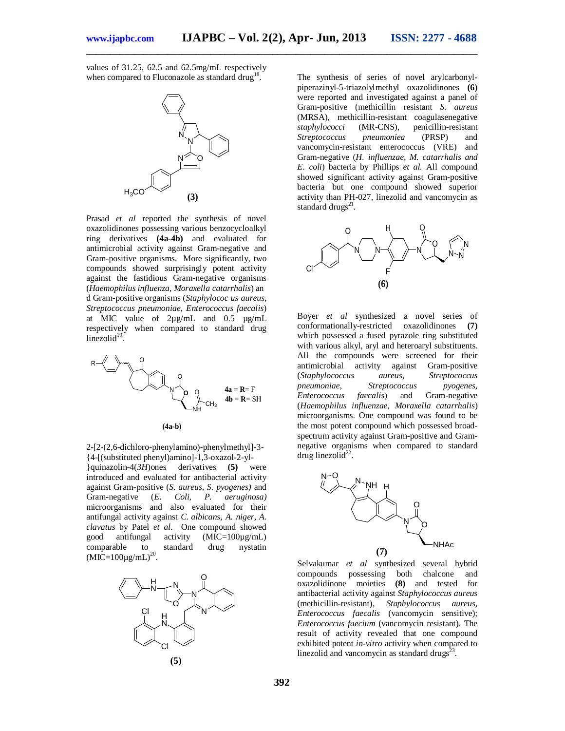values of 31.25, 62.5 and 62.5mg/mL respectively when compared to Fluconazole as standard drug<sup>18</sup>.



Prasad *et al* reported the synthesis of novel oxazolidinones possessing various benzocycloalkyl ring derivatives **(4a-4b)** and evaluated for antimicrobial activity against Gram-negative and Gram-positive organisms. More significantly, two compounds showed surprisingly potent activity against the fastidious Gram-negative organisms (*Haemophilus influenza, Moraxella catarrhalis*) an d Gram-positive organisms (*Staphylococ us aureus, Streptococcus pneumoniae, Enterococcus faecalis*) at MIC value of 2µg/mL and 0.5 µg/mL respectively when compared to standard drug  $linezolid<sup>19</sup>$ .



2-[2-(2,6-dichloro-phenylamino)-phenylmethyl]-3- {4-[(substituted phenyl)amino]-1,3-oxazol-2-yl- }quinazolin-4(*3H*)ones derivatives **(5)** were introduced and evaluated for antibacterial activity against Gram-positive (*S. aureus, S. pyogenes)* and Gram-negative (*E. Coli, P. aeruginosa)*

microorganisms and also evaluated for their antifungal activity against *C. albicans, A. niger, A. clavatus* by Patel *et al*.One compound showed good antifungal activity (MIC=100µg/mL) comparable to standard drug nystatin  $(MIC=100\mu g/mL)^{20}$ .



The synthesis of series of novel arylcarbonylpiperazinyl-5-triazolylmethyl oxazolidinones **(6)** were reported and investigated against a panel of Gram-positive (methicillin resistant *S. aureus* (MRSA), methicillin-resistant coagulasenegative *staphylococci* (MR-CNS), penicillin-resistant *Streptococcus pneumoniea* (PRSP) and vancomycin-resistant enterococcus (VRE) and Gram-negative (*H. influenzae, M. catarrhalis and E. coli*) bacteria by Phillips *et al.* All compound showed significant activity against Gram-positive bacteria but one compound showed superior activity than PH-027, linezolid and vancomycin as standard drugs $^{21}$ .



Boyer *et al* synthesized a novel series of conformationally-restricted oxazolidinones **(7)**  which possessed a fused pyrazole ring substituted with various alkyl, aryl and heteroaryl substituents. All the compounds were screened for their antimicrobial activity against Gram-positive (*Staphylococcus aureus, Streptococcus pneumoniae, Streptococcus*<br> *Enterococcus faecalis*) and *Enterococcus faecalis*) and Gram-negative (*Haemophilus influenzae, Moraxella catarrhalis*) microorganisms. One compound was found to be the most potent compound which possessed broadspectrum activity against Gram-positive and Gramnegative organisms when compared to standard drug linezolid $^{22}$ .



Selvakumar *et al* synthesized several hybrid compounds possessing both chalcone and oxazolidinone moieties **(8)** and tested for antibacterial activity against *Staphylococcus aureus* (methicillin-resistant), *Staphylococcus aureus*, *Enterococcus faecalis* (vancomycin sensitive); *Enterococcus faecium* (vancomycin resistant). The result of activity revealed that one compound exhibited potent *in-vitro* activity when compared to linezolid and vancomycin as standard drugs $^{23}$ .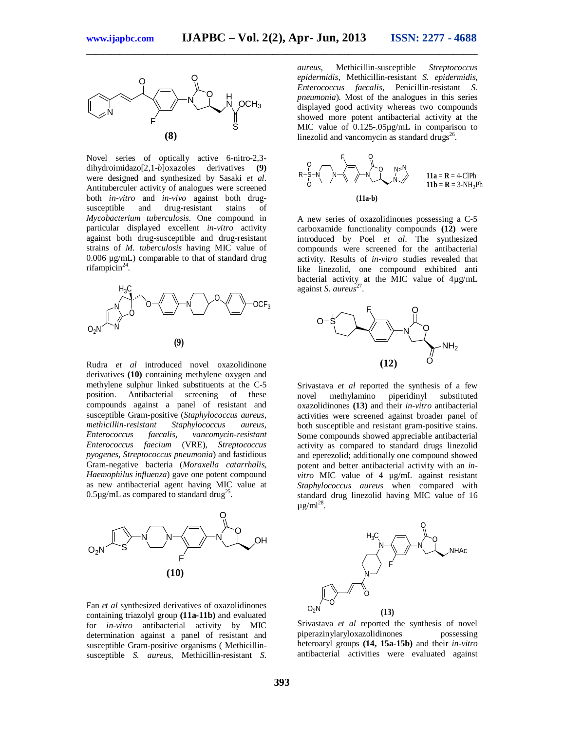

Novel series of optically active 6-nitro-2,3 dihydroimidazo[2,1-*b*]oxazoles derivatives **(9)** were designed and synthesized by Sasaki *et al*. Antituberculer activity of analogues were screened both *in-vitro* and *in-vivo* against both drugdrug-resistant stains of *Mycobacterium tuberculosis*. One compound in particular displayed excellent *in-vitro* activity against both drug-susceptible and drug-resistant strains of *M. tuberculosis* having MIC value of 0.006 µg/mL) comparable to that of standard drug rifampicin<sup>24</sup>.



Rudra *et al* introduced novel oxazolidinone derivatives **(10)** containing methylene oxygen and methylene sulphur linked substituents at the C-5 position. Antibacterial screening of these compounds against a panel of resistant and susceptible Gram-positive (*Staphylococcus aureus, methicillin-resistant Staphylococcus aureus, Enterococcus faecalis, vancomycin-resistant Enterococcus faecium* (VRE), *Streptococcus pyogenes, Streptococcus pneumonia*) and fastidious Gram-negative bacteria (*Moraxella catarrhalis, Haemophilus influenza*) gave one potent compound as new antibacterial agent having MIC value at  $0.5 \mu$ g/mL as compared to standard drug<sup>25</sup>.



Fan *et al* synthesized derivatives of oxazolidinones containing triazolyl group **(11a-11b)** and evaluated for *in-vitro* antibacterial activity by MIC determination against a panel of resistant and susceptible Gram-positive organisms ( Methicillinsusceptible *S. aureus*, Methicillin-resistant *S.* 

*aureus*, Methicillin-susceptible *Streptococcus epidermidis*, Methicillin-resistant *S. epidermidis*, *Enterococcus faecalis*, Penicillin-resistant *S. pneumonia*). Most of the analogues in this series displayed good activity whereas two compounds showed more potent antibacterial activity at the MIC value of  $0.125 - .05\mu$ g/mL in comparison to linezolid and vancomycin as standard drugs<sup>26</sup>.



A new series of oxazolidinones possessing a C-5 carboxamide functionality compounds **(12)** were introduced by Poel *et al*. The synthesized compounds were screened for the antibacterial activity. Results of *in-vitro* studies revealed that like linezolid, one compound exhibited anti bacterial activity at the MIC value of 4µg/mL against *S. aureus*<sup>27</sup>.



Srivastava *et al* reported the synthesis of a few novel methylamino piperidinyl substituted oxazolidinones **(13)** and their *in-vitro* antibacterial activities were screened against broader panel of both susceptible and resistant gram-positive stains. Some compounds showed appreciable antibacterial activity as compared to standard drugs linezolid and eperezolid; additionally one compound showed potent and better antibacterial activity with an *invitro* MIC value of 4 µg/mL against resistant *Staphylococcus aureus* when compared with standard drug linezolid having MIC value of 16  $\mu$ g/ml $^{28}$ .



Srivastava *et al* reported the synthesis of novel piperazinylaryloxazolidinones possessing heteroaryl groups **(14, 15a-15b)** and their *in-vitro* antibacterial activities were evaluated against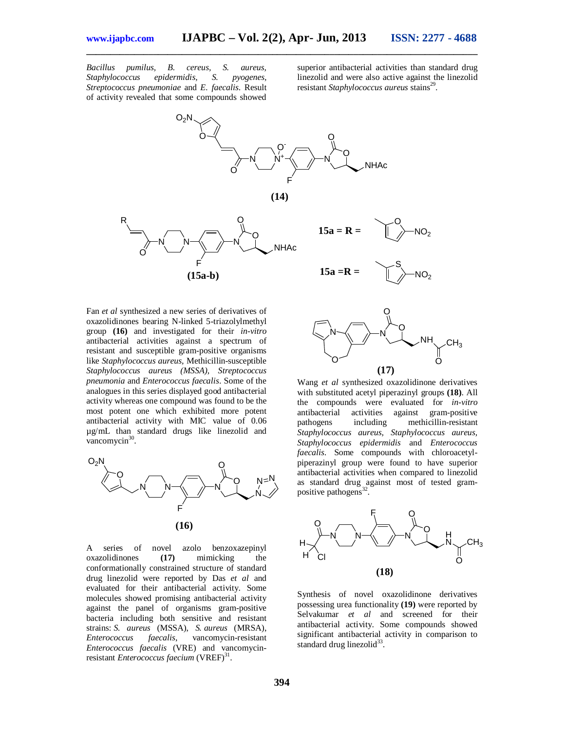*Bacillus pumilus, B. cereus, S. aureus, Staphylococcus epidermidis, S. pyogenes, Streptococcus pneumoniae* and *E. faecalis*. Result of activity revealed that some compounds showed

superior antibacterial activities than standard drug linezolid and were also active against the linezolid resistant Staphylococcus aureus stains<sup>29</sup>.



**\_\_\_\_\_\_\_\_\_\_\_\_\_\_\_\_\_\_\_\_\_\_\_\_\_\_\_\_\_\_\_\_\_\_\_\_\_\_\_\_\_\_\_\_\_\_\_\_\_\_\_\_\_\_\_\_\_\_\_\_\_\_\_\_\_\_\_\_\_\_\_\_\_\_\_\_\_\_\_\_\_\_**

Fan *et al* synthesized a new series of derivatives of oxazolidinones bearing N-linked 5-triazolylmethyl group **(16)** and investigated for their *in-vitro* antibacterial activities against a spectrum of resistant and susceptible gram-positive organisms like *Staphylococcus aureus,* Methicillin-susceptible *Staphylococcus aureus (MSSA), Streptococcus pneumonia* and *Enterococcus faecalis*. Some of the analogues in this series displayed good antibacterial activity whereas one compound was found to be the most potent one which exhibited more potent antibacterial activity with MIC value of 0.06 µg/mL than standard drugs like linezolid and vancomycin $30$ .



A series of novel azolo benzoxazepinyl oxazolidinones **(17)** mimicking the conformationally constrained structure of standard drug linezolid were reported by Das *et al* and evaluated for their antibacterial activity. Some molecules showed promising antibacterial activity against the panel of organisms gram-positive bacteria including both sensitive and resistant strains: *S. aureus* (MSSA), *S. aureus* (MRSA), *Enterococcus faecalis*, vancomycin-resistant *Enterococcus faecalis* (VRE) and vancomycinresistant *Enterococcus faecium* (VREF)<sup>31</sup>.



Wang *et al* synthesized oxazolidinone derivatives with substituted acetyl piperazinyl groups **(18)**. All the compounds were evaluated for *in-vitro* antibacterial activities against gram-positive pathogens including methicillin-resistant *Staphylococcus aureus, Staphylococcus aureus, Staphylococcus epidermidis* and *Enterococcus faecalis*. Some compounds with chloroacetylpiperazinyl group were found to have superior antibacterial activities when compared to linezolid as standard drug against most of tested grampositive pathogens<sup>32</sup>.



Synthesis of novel oxazolidinone derivatives possessing urea functionality **(19)** were reported by Selvakumar *et al* and screened for their antibacterial activity. Some compounds showed significant antibacterial activity in comparison to standard drug linezolid<sup>33</sup>.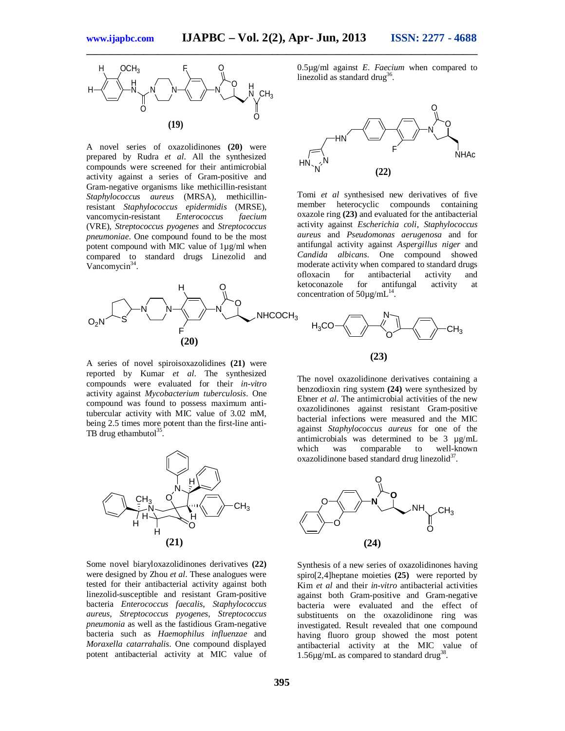

A novel series of oxazolidinones **(20)** were prepared by Rudra *et al*. All the synthesized compounds were screened for their antimicrobial activity against a series of Gram-positive and Gram-negative organisms like methicillin-resistant *Staphylococcus aureus* (MRSA), methicillinresistant *Staphylococcus epidermidis* (MRSE), vancomycin-resistant *Enterococcus faecium* (VRE), *Streptococcus pyogenes* and *Streptococcus pneumoniae*. One compound found to be the most potent compound with MIC value of 1µg/ml when compared to standard drugs Linezolid and Vancomycin<sup>34</sup>.



A series of novel spiroisoxazolidines **(21)** were reported by Kumar *et al*. The synthesized compounds were evaluated for their *in-vitro* activity against *Mycobacterium tuberculosis*. One compound was found to possess maximum antitubercular activity with MIC value of 3.02 mM, being 2.5 times more potent than the first-line anti-TB drug ethambutol $35$ .



Some novel biaryloxazolidinones derivatives **(22)** were designed by Zhou *et al*. These analogues were tested for their antibacterial activity against both linezolid-susceptible and resistant Gram-positive bacteria *Enterococcus faecalis*, *Staphylococcus aureus, Streptococcus pyogenes*, *Streptococcus pneumonia* as well as the fastidious Gram-negative bacteria such as *Haemophilus influenzae* and *Moraxella catarrahalis*. One compound displayed potent antibacterial activity at MIC value of 0.5µg/ml against *E. Faecium* when compared to linezolid as standard drug<sup>36</sup>.



Tomi *et al* synthesised new derivatives of five member heterocyclic compounds containing oxazole ring **(23)** and evaluated for the antibacterial activity against *Escherichia coli*, *Staphylococcus aureus* and *Pseudomonas aerugenosa* and for antifungal activity against *Aspergillus niger* and *Candida albicans*. One compound showed moderate activity when compared to standard drugs<br>ofloxacin for antibacterial activity and ofloxacin for antibacterial activity and ketoconazole for antifungal activity at concentration of  $50\mu\text{g/mL}^{14}$ .



The novel oxazolidinone derivatives containing a benzodioxin ring system **(24)** were synthesized by Ebner *et al*. The antimicrobial activities of the new oxazolidinones against resistant Gram-positive bacterial infections were measured and the MIC against *Staphylococcus aureus* for one of the antimicrobials was determined to be  $3 \mu g/mL$ <br>which was comparable to well-known which was comparable oxazolidinone based standard drug linezolid<sup>37</sup>.



Synthesis of a new series of oxazolidinones having spiro[2,4]heptane moieties **(25)** were reported by Kim *et al* and their *in-vitro* antibacterial activities against both Gram-positive and Gram-negative bacteria were evaluated and the effect of substituents on the oxazolidinone ring was investigated. Result revealed that one compound having fluoro group showed the most potent antibacterial activity at the MIC value of 1.56 $\mu$ g/mL as compared to standard drug<sup>38</sup>.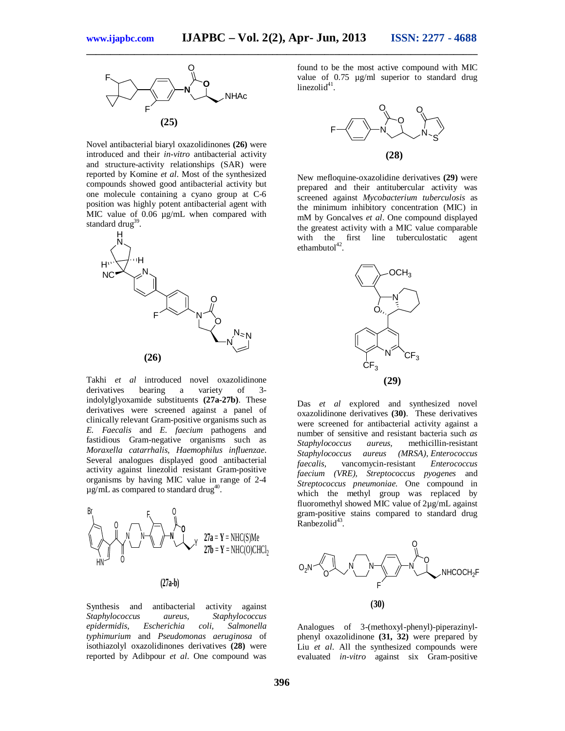

Novel antibacterial biaryl oxazolidinones **(26)** were introduced and their *in-vitro* antibacterial activity and structure-activity relationships (SAR) were reported by Komine *et al*. Most of the synthesized compounds showed good antibacterial activity but one molecule containing a cyano group at C-6 position was highly potent antibacterial agent with MIC value of 0.06  $\mu$ g/mL when compared with standard drug<sup>39</sup>.



Takhi *et al* introduced novel oxazolidinone<br>derivatives bearing a variety of 3derivatives bearing a variety of 3 indolylglyoxamide substituents **(27a-27b)**. These derivatives were screened against a panel of clinically relevant Gram-positive organisms such as *E. Faecalis* and *E. faecium* pathogens and fastidious Gram-negative organisms such as *Moraxella catarrhalis, Haemophilus influenzae*. Several analogues displayed good antibacterial activity against linezolid resistant Gram-positive organisms by having MIC value in range of 2-4  $\mu$ g/mL as compared to standard drug<sup>40</sup>.



Synthesis and antibacterial activity against *Staphylococcus aureus, Staphylococcus epidermidis, Escherichia coli, Salmonella typhimurium* and *Pseudomonas aeruginosa* of isothiazolyl oxazolidinones derivatives **(28)** were reported by Adibpour *et al*. One compound was

found to be the most active compound with MIC value of 0.75 µg/ml superior to standard drug  $linezolid<sup>41</sup>$ .



New mefloquine-oxazolidine derivatives **(29)** were prepared and their antitubercular activity was screened against *Mycobacterium tuberculosis* as the minimum inhibitory concentration (MIC) in mM by Goncalves *et al*. One compound displayed the greatest activity with a MIC value comparable with the first line tuberculostatic agent  $ethambutol<sup>42</sup>$ .



Das *et al* explored and synthesized novel oxazolidinone derivatives **(30)**. These derivatives were screened for antibacterial activity against a number of sensitive and resistant bacteria such *as Staphylococcus aureus,* methicillin-resistant *Staphylococcus aureus (MRSA), Enterococcus faecalis,* vancomycin-resistant *Enterococcus faecium (VRE), Streptococcus pyogenes* and *Streptococcus pneumoniae.* One compound in which the methyl group was replaced by fluoromethyl showed MIC value of 2µg/mL against gram-positive stains compared to standard drug Ranbezolid<sup>43</sup>.



Analogues of 3-(methoxyl-phenyl)-piperazinylphenyl oxazolidinone **(31, 32)** were prepared by Liu *et al*. All the synthesized compounds were evaluated *in-vitro* against six Gram-positive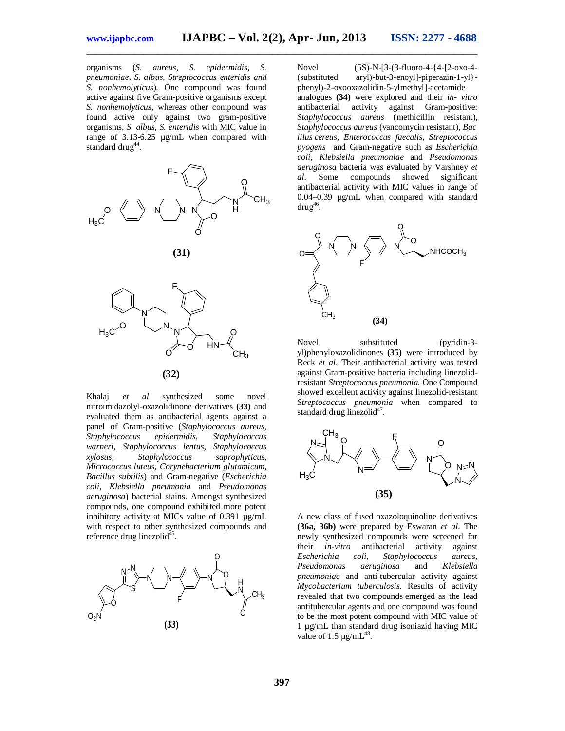organisms (*S. aureus, S. epidermidis, S. pneumoniae, S. albus, Streptococcus enteridis and S. nonhemolyticus*). One compound was found active against five Gram-positive organisms except *S. nonhemolyticus*, whereas other compound was found active only against two gram-positive organisms, *S. albus*, *S. enteridis* with MIC value in range of 3.13-6.25 µg/mL when compared with standard drug<sup>44</sup>.







Khalaj *et al* synthesized some novel nitroimidazolyl-oxazolidinone derivatives **(33)** and evaluated them as antibacterial agents against a panel of Gram-positive (*Staphylococcus aureus, Staphylococcus epidermidis, Staphylococcus warneri, Staphylococcus lentus, Staphylococcus xylosus, Staphylococcus saprophyticus, Micrococcus luteus, Corynebacterium glutamicum, Bacillus subtilis*) and Gram-negative (*Escherichia coli, Klebsiella pneumonia* and *Pseudomonas aeruginosa*) bacterial stains. Amongst synthesized compounds, one compound exhibited more potent inhibitory activity at MICs value of 0.391 µg/mL with respect to other synthesized compounds and reference drug linezolid<sup>45</sup>.



Novel (5S)-N-[3-(3-fluoro-4-{4-[2-oxo-4- (substituted aryl)-but-3-enoyl]-piperazin-1-yl} phenyl)-2-oxooxazolidin-5-ylmethyl]-acetamide analogues **(34)** were explored and their *in- vitro* antibacterial activity against Gram-positive: *Staphylococcus aureus* (methicillin resistant)*, Staphylococcus aureus* (vancomycin resistant), *Bac illus cereus, Enterococcus faecalis, Streptococcus pyogens* and Gram-negative such as *Escherichia coli, Klebsiella pneumoniae* and *Pseudomonas aeruginosa* bacteria was evaluated by Varshney *et al*. Some compounds showed significant antibacterial activity with MIC values in range of 0.04–0.39 µg/mL when compared with standard  $d$ rug $^{46}$ .



Novel substituted (pyridin-3 yl)phenyloxazolidinones **(35)** were introduced by Reck *et al*. Their antibacterial activity was tested against Gram-positive bacteria including linezolidresistant *Streptococcus pneumonia.* One Compound showed excellent activity against linezolid-resistant *Streptococcus pneumonia* when compared to standard drug linezolid<sup>47</sup>.



A new class of fused oxazoloquinoline derivatives **(36a, 36b)** were prepared by Eswaran *et al*. The newly synthesized compounds were screened for their *in-vitro* antibacterial activity against *Escherichia coli*, *Staphylococcus aureus*, *Pseudomonas aeruginosa* and *Klebsiella pneumoniae* and anti-tubercular activity against *Mycobacterium tuberculosis*. Results of activity revealed that two compounds emerged as the lead antitubercular agents and one compound was found to be the most potent compound with MIC value of 1 µg/mL than standard drug isoniazid having MIC value of 1.5  $\mu$ g/mL<sup>48</sup>.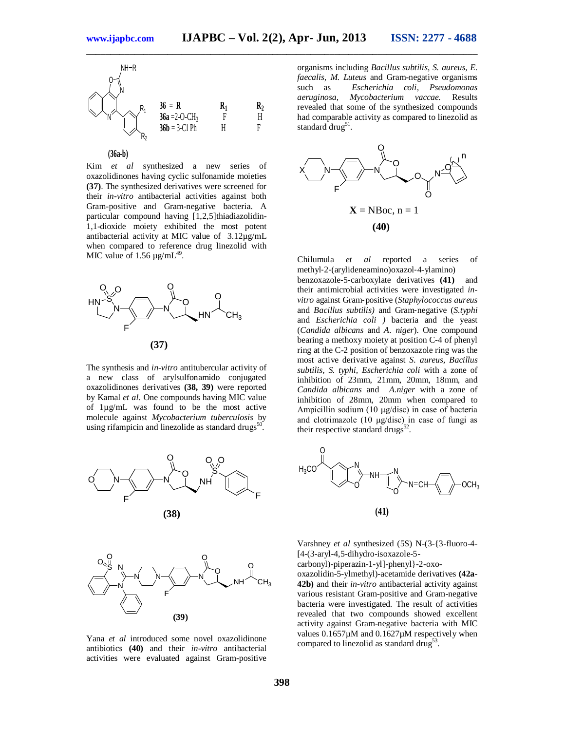



Kim *et al* synthesized a new series of oxazolidinones having cyclic sulfonamide moieties **(37)**. The synthesized derivatives were screened for their *in-vitro* antibacterial activities against both Gram-positive and Gram-negative bacteria. A particular compound having [1,2,5]thiadiazolidin-1,1-dioxide moiety exhibited the most potent antibacterial activity at MIC value of 3.12µg/mL when compared to reference drug linezolid with MIC value of  $1.56 \mu g/mL^{49}$ .



The synthesis and *in-vitro* antitubercular activity of a new class of arylsulfonamido conjugated oxazolidinones derivatives **(38, 39)** were reported by Kamal *et al*. One compounds having MIC value of 1µg/mL was found to be the most active molecule against *Mycobacterium tuberculosis* by using rifampicin and linezolide as standard drugs $^{50}$ .





Yana *et al* introduced some novel oxazolidinone antibiotics **(40)** and their *in-vitro* antibacterial activities were evaluated against Gram-positive

organisms including *Bacillus subtilis*, *S. aureus*, *E. faecalis, M. Luteus* and Gram-negative organisms such as *Escherichia coli, Pseudomonas aeruginosa, Mycobacterium vaccae.* Results revealed that some of the synthesized compounds had comparable activity as compared to linezolid as standard drug<sup>51</sup>.



Chilumula *et al* reported a series of methyl‐2‐(arylideneamino)oxazol‐4-ylamino) benzoxazole‐5‐carboxylate derivatives **(41)** and their antimicrobial activities were investigated *invitro* against Gram‐positive (*Staphylococcus aureus* and *Bacillus subtilis)* and Gram‐negative (*S.typhi*  and *Escherichia coli )* bacteria and the yeast (*Candida albicans* and *A. niger*). One compound bearing a methoxy moiety at position C-4 of phenyl ring at the C-2 position of benzoxazole ring was the most active derivative against *S. aureus, Bacillus subtilis, S. typhi, Escherichia coli* with a zone of inhibition of 23mm, 21mm, 20mm, 18mm, and *Candida albicans* and *A.niger* with a zone of inhibition of 28mm, 20mm when compared to Ampicillin sodium (10 μg/disc) in case of bacteria and clotrimazole (10 μg/disc) in case of fungi as their respective standard drugs $^{52}$ .



Varshney *et al* synthesized (5S) N-(3-{3-fluoro-4- [4-(3-aryl-4,5-dihydro-isoxazole-5-

carbonyl)-piperazin-1-yl]-phenyl}-2-oxooxazolidin-5-ylmethyl)-acetamide derivatives **(42a**-**42b)** and their *in-vitro* antibacterial activity against various resistant Gram-positive and Gram-negative bacteria were investigated. The result of activities revealed that two compounds showed excellent activity against Gram-negative bacteria with MIC values 0.1657µM and 0.1627µM respectively when compared to linezolid as standard drug<sup>53</sup>.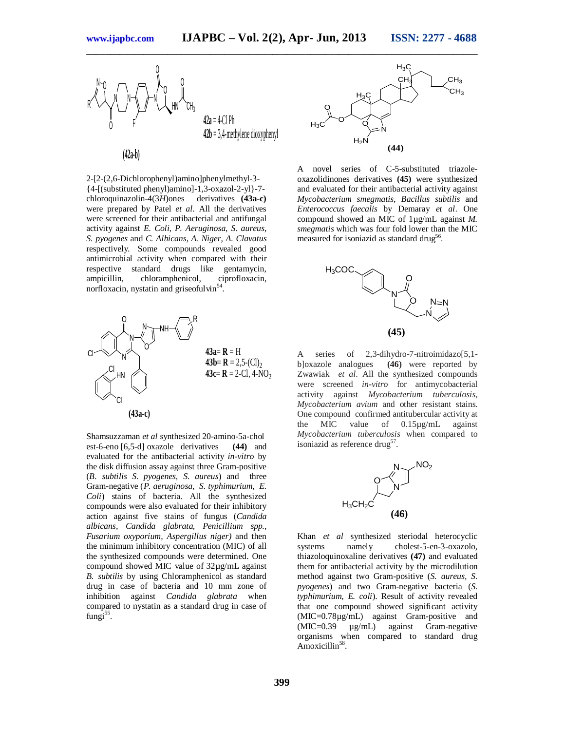

2-[2-(2,6-Dichlorophenyl)amino]phenylmethyl-3- {4-[(substituted phenyl)amino]-1,3-oxazol-2-yl}-7 chloroquinazolin-4(3*H*)ones derivatives **(43a-c)**  were prepared by Patel *et al*. All the derivatives were screened for their antibacterial and antifungal activity against *E. Coli, P. Aeruginosa, S. aureus, S. pyogenes* and *C. Albicans, A. Niger, A. Clavatus*  respectively*.* Some compounds revealed good antimicrobial activity when compared with their respective standard drugs like gentamycin, chloramphenicol, norfloxacin, nystatin and griseofulvin<sup>5</sup> .



Shamsuzzaman *et al* synthesized 20-amino-5a-chol est-6-eno [6,5-d] oxazole derivatives **(44)** and evaluated for the antibacterial activity *in-vitro* by the disk diffusion assay against three Gram-positive (*B. subtilis S. pyogenes, S. aureus*) and three Gram-negative (*P. aeruginosa, S. typhimurium, E. Coli*) stains of bacteria. All the synthesized compounds were also evaluated for their inhibitory action against five stains of fungus (*Candida albicans, Candida glabrata, Penicillium spp., Fusarium oxyporium, Aspergillus niger)* and then the minimum inhibitory concentration (MIC) of all the synthesized compounds were determined. One compound showed MIC value of 32µg/mL against *B. subtilis* by using Chloramphenicol as standard drug in case of bacteria and 10 mm zone of inhibition against *Candida glabrata* when compared to nystatin as a standard drug in case of fungi<sup>55</sup>.



A novel series of C-5-substituted triazoleoxazolidinones derivatives **(45)** were synthesized and evaluated for their antibacterial activity against *Mycobacterium smegmatis, Bacillus subtilis* and *Enterococcus faecalis* by Demaray *et al*. One compound showed an MIC of 1µg/mL against *M. smegmatis* which was four fold lower than the MIC measured for isoniazid as standard drug<sup>56</sup>.



A series of 2,3-dihydro-7-nitroimidazo[5,1b]oxazole analogues **(46)** were reported by Zwawiak *et al*. All the synthesized compounds were screened *in-vitro* for antimycobacterial activity against *Mycobacterium tuberculosis, Mycobacterium avium* and other resistant stains. One compound confirmed antitubercular activity at the MIC value of 0.15µg/mL against *Mycobacterium tuberculosis* when compared to isoniazid as reference drug<sup>57</sup>.



Khan *et al* synthesized steriodal heterocyclic systems namely cholest-5-en-3-oxazolo, thiazoloquinoxaline derivatives **(47)** and evaluated them for antibacterial activity by the microdilution method against two Gram-positive (*S. aureus, S. pyogenes*) and two Gram-negative bacteria (*S. typhimurium, E. coli*). Result of activity revealed that one compound showed significant activity (MIC=0.78µg/mL) against Gram-positive and (MIC=0.39 µg/mL) against Gram-negative organisms when compared to standard drug Amoxicillin<sup>58</sup>.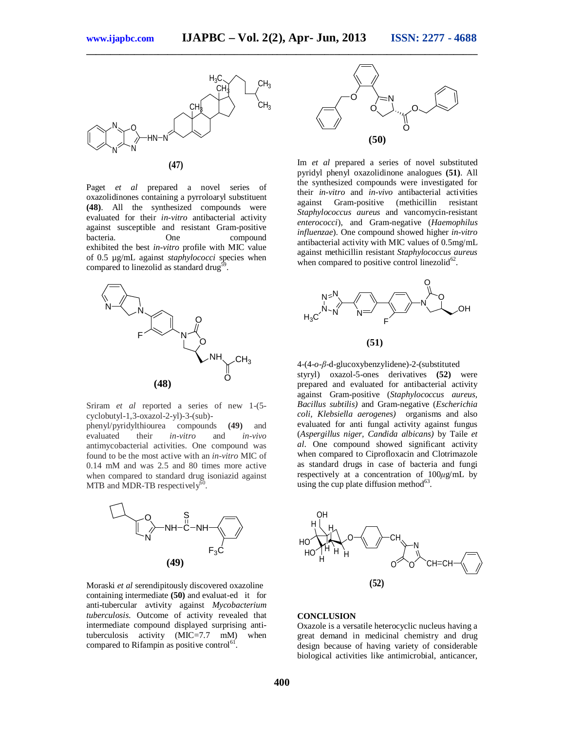

Paget *et al* prepared a novel series of oxazolidinones containing a pyrroloaryl substituent **(48)**. All the synthesized compounds were evaluated for their *in-vitro* antibacterial activity against susceptible and resistant Gram-positive bacteria. One compound exhibited the best *in-vitro* profile with MIC value of 0.5 µg/mL against *staphylococci* species when compared to linezolid as standard drug $^{59}$ .



Sriram *et al* reported a series of new 1-(5 cyclobutyl-1,3-oxazol-2-yl)-3-(sub)-

phenyl/pyridylthiourea compounds **(49)** and evaluated their *in-vitro* and *in-vivo* antimycobacterial activities. One compound was found to be the most active with an *in-vitro* MIC of 0.14 mM and was 2.5 and 80 times more active when compared to standard drug isoniazid against MTB and MDR-TB respectively $6<sup>6</sup>$ .



Moraski *et al* serendipitously discovered oxazoline containing intermediate **(50)** and evaluat-ed it for anti-tubercular avtivity against *Mycobacterium tuberculosis.* Outcome of activity revealed that intermediate compound displayed surprising antituberculosis activity (MIC=7.7 mM) when compared to Rifampin as positive control<sup>61</sup>.



Im *et al* prepared a series of novel substituted pyridyl phenyl oxazolidinone analogues **(51)**. All the synthesized compounds were investigated for their *in-vitro* and *in-vivo* antibacterial activities against Gram-positive (methicillin resistant *Staphylococcus aureus* and vancomycin-resistant *enterococci*), and Gram-negative (*Haemophilus influenzae*). One compound showed higher *in-vitro* antibacterial activity with MIC values of 0.5mg/mL against methicillin resistant *Staphylococcus aureus* when compared to positive control linezolid $^{62}$ .



4-(4-*o*-*β*-d-glucoxybenzylidene)-2-(substituted styryl) oxazol-5-ones derivatives **(52)** were prepared and evaluated for antibacterial activity against Gram-positive (*Staphylococcus aureus, Bacillus subtilis)* and Gram-negative (*Escherichia coli, Klebsiella aerogenes)* organisms and also evaluated for anti fungal activity against fungus (*Aspergillus niger, Candida albicans)* by Taile *et al*. One compound showed significant activity when compared to Ciprofloxacin and Clotrimazole as standard drugs in case of bacteria and fungi respectively at a concentration of 100*μ*g/mL by using the cup plate diffusion method $^{63}$ .



#### **CONCLUSION**

Oxazole is a versatile heterocyclic nucleus having a great demand in medicinal chemistry and drug design because of having variety of considerable biological activities like antimicrobial, anticancer,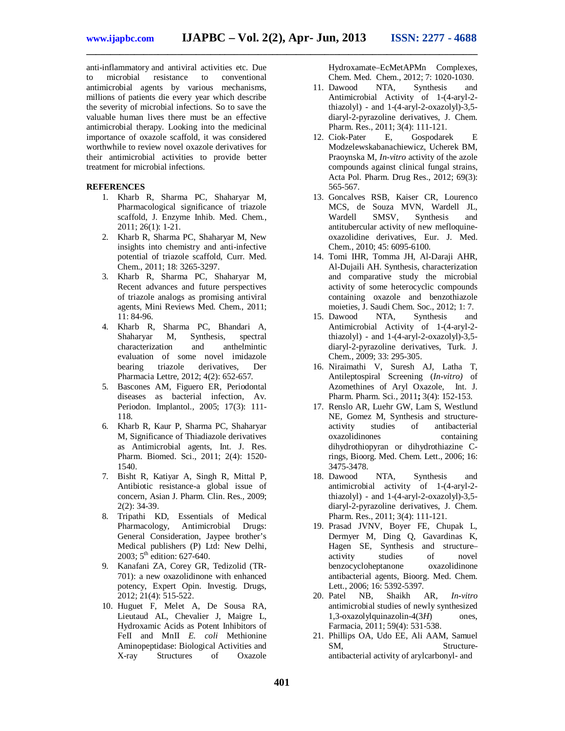anti-inflammatory and antiviral activities etc. Due to microbial resistance to conventional antimicrobial agents by various mechanisms, millions of patients die every year which describe the severity of microbial infections. So to save the valuable human lives there must be an effective antimicrobial therapy. Looking into the medicinal importance of oxazole scaffold, it was considered worthwhile to review novel oxazole derivatives for their antimicrobial activities to provide better treatment for microbial infections.

#### **REFERENCES**

- 1. Kharb R, Sharma PC, Shaharyar M, Pharmacological significance of triazole scaffold, J. Enzyme Inhib. Med. Chem., 2011; 26(1): 1-21.
- 2. Kharb R, Sharma PC, Shaharyar M, New insights into chemistry and anti-infective potential of triazole scaffold, Curr. Med. Chem., 2011; 18: 3265-3297.
- 3. Kharb R, Sharma PC, Shaharyar M, Recent advances and future perspectives of triazole analogs as promising antiviral agents, Mini Reviews Med. Chem., 2011; 11: 84-96.
- 4. Kharb R, Sharma PC, Bhandari A, Shaharyar M, Synthesis, spectral characterization and anthelmintic evaluation of some novel imidazole<br>bearing triazole derivatives, Der triazole derivatives, Der Pharmacia Lettre, 2012; 4(2): 652-657.
- 5. Bascones AM, Figuero ER, Periodontal diseases as bacterial infection, Av. Periodon. Implantol., 2005; 17(3): 111- 118.
- 6. Kharb R, Kaur P, Sharma PC, Shaharyar M, Significance of Thiadiazole derivatives as Antimicrobial agents, Int. J. Res. Pharm. Biomed. Sci., 2011; 2(4): 1520- 1540.
- 7. Bisht R, Katiyar A, Singh R, Mittal P, Antibiotic resistance-a global issue of concern, Asian J. Pharm. Clin. Res.*,* 2009; 2(2): 34-39.
- 8. Tripathi KD, Essentials of Medical Pharmacology, Antimicrobial Drugs: General Consideration, Jaypee brother's Medical publishers (P) Ltd: New Delhi, 2003; 5 th edition: 627-640.
- 9. Kanafani ZA, Corey GR, Tedizolid (TR-701): a new oxazolidinone with enhanced potency, Expert Opin. Investig. Drugs, 2012; 21(4): 515-522.
- 10. Huguet F, Melet A, De Sousa RA, Lieutaud AL, Chevalier J, Maigre L, Hydroxamic Acids as Potent Inhibitors of FeII and MnII *E. coli* Methionine Aminopeptidase: Biological Activities and X-ray Structures of Oxazole

Hydroxamate–EcMetAPMn Complexes, Chem. Med. Chem., 2012; 7: 1020-1030.

- 11. Dawood NTA, Synthesis and Antimicrobial Activity of 1-(4-aryl-2 thiazolyl) - and 1-(4-aryl-2-oxazolyl)-3,5 diaryl-2-pyrazoline derivatives, J. Chem. Pharm. Res.*,* 2011; 3(4): 111-121.
- 12. Ciok-Pater E, Gospodarek E Modzelewskabanachiewicz, Ucherek BM, Praoynska M, *In-vitro* activity of the azole compounds against clinical fungal strains, Acta Pol. Pharm. Drug Res., 2012; 69(3): 565-567.
- 13. Goncalves RSB, Kaiser CR, Lourenco MCS, de Souza MVN, Wardell JL, Wardell SMSV, Synthesis and antitubercular activity of new mefloquineoxazolidine derivatives, Eur. J. Med. Chem.*,* 2010; 45: 6095-6100.
- 14. Tomi IHR, Tomma JH, Al-Daraji AHR, Al-Dujaili AH. Synthesis, characterization and comparative study the microbial activity of some heterocyclic compounds containing oxazole and benzothiazole moieties, J. Saudi Chem. Soc., 2012; 1: 7.
- 15. Dawood NTA, Synthesis and Antimicrobial Activity of 1-(4-aryl-2 thiazolyl) - and 1-(4-aryl-2-oxazolyl)-3,5 diaryl-2-pyrazoline derivatives, Turk. J. Chem.*,* 2009; 33: 295-305.
- 16. Niraimathi V, Suresh AJ, Latha T, Antileptospiral Screening (*In-vitro)* of Azomethines of Aryl Oxazole, Int. J. Pharm. Pharm. Sci., 2011**;** 3(4): 152-153.
- 17. Renslo AR, Luehr GW, Lam S, Westlund NE, Gomez M, Synthesis and structureactivity studies of antibacterial oxazolidinones containing dihydrothiopyran or dihydrothiazine Crings*,* Bioorg. Med. Chem. Lett., 2006; 16: 3475-3478.
- 18. Dawood NTA, Synthesis and antimicrobial activity of 1-(4-aryl-2 thiazolyl) - and 1-(4-aryl-2-oxazolyl)-3,5 diaryl-2-pyrazoline derivatives, J. Chem. Pharm. Res., 2011; 3(4): 111-121.
- 19. Prasad JVNV, Boyer FE, Chupak L, Dermyer M, Ding Q, Gavardinas K, Hagen SE, Synthesis and structure– activity studies of novel benzocycloheptanone oxazolidinone antibacterial agents, Bioorg. Med. Chem. Lett., 2006; 16: 5392-5397.
- 20. Patel NB, Shaikh AR, *In-vitro*  antimicrobial studies of newly synthesized 1,3-oxazolylquinazolin-4(3*H*) ones, Farmacia, 2011; 59(4): 531-538.
- 21. Phillips OA, Udo EE, Ali AAM, Samuel SM, Structureantibacterial activity of arylcarbonyl- and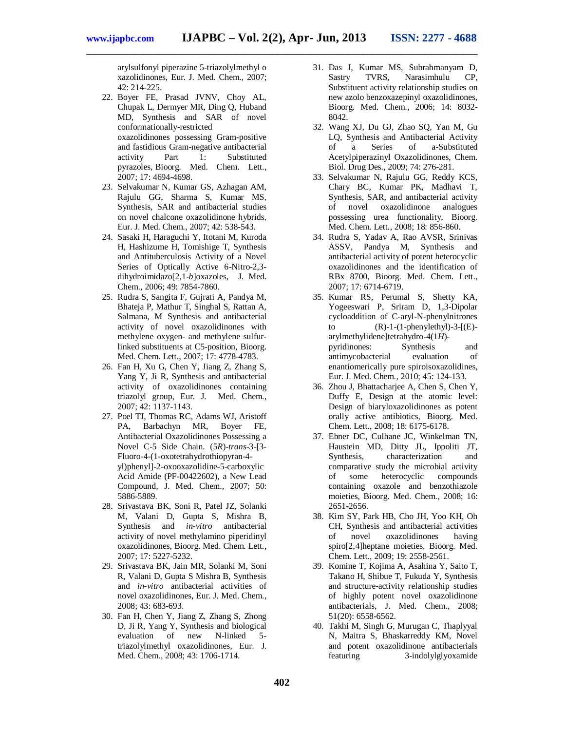arylsulfonyl piperazine 5-triazolylmethyl o xazolidinones, Eur. J. Med. Chem., 2007; 42: 214-225.

- 22. Boyer FE, Prasad JVNV, Choy AL, Chupak L, Dermyer MR, Ding Q, Huband MD, Synthesis and SAR of novel conformationally-restricted oxazolidinones possessing Gram-positive and fastidious Gram-negative antibacterial activity Part 1: Substituted pyrazoles, Bioorg. Med. Chem. Lett., 2007; 17: 4694-4698.
- 23. Selvakumar N, Kumar GS, Azhagan AM, Rajulu GG, Sharma S, Kumar MS, Synthesis, SAR and antibacterial studies on novel chalcone oxazolidinone hybrids, Eur. J. Med. Chem., 2007; 42: 538-543.
- 24. Sasaki H, Haraguchi Y, Itotani M, Kuroda H, Hashizume H, Tomishige T, Synthesis and Antituberculosis Activity of a Novel Series of Optically Active 6-Nitro-2,3 dihydroimidazo[2,1-*b*]oxazoles, J. Med. Chem., 2006; 49: 7854-7860.
- 25. Rudra S, Sangita F, Gujrati A, Pandya M, Bhateja P, Mathur T, Singhal S, Rattan A, Salmana, M Synthesis and antibacterial activity of novel oxazolidinones with methylene oxygen- and methylene sulfurlinked substituents at C5-position, Bioorg. Med. Chem. Lett., 2007; 17: 4778-4783.
- 26. Fan H, Xu G, Chen Y, Jiang Z, Zhang S, Yang Y, Ji R, Synthesis and antibacterial activity of oxazolidinones containing triazolyl group, Eur. J. Med. Chem., 2007; 42: 1137-1143.
- 27. Poel TJ, Thomas RC, Adams WJ, Aristoff PA, Barbachyn MR, Boyer FE, Antibacterial Oxazolidinones Possessing a Novel C-5 Side Chain. (5*R*)-*trans*-3-[3- Fluoro-4-(1-oxotetrahydrothiopyran-4 yl)phenyl]-2-oxooxazolidine-5-carboxylic Acid Amide (PF-00422602), a New Lead Compound, J. Med. Chem., 2007; 50: 5886-5889.
- 28. Srivastava BK, Soni R, Patel JZ, Solanki M, Valani D, Gupta S, Mishra B, Synthesis and *in-vitro* antibacterial activity of novel methylamino piperidinyl oxazolidinones, Bioorg. Med. Chem. Lett., 2007; 17: 5227-5232.
- 29. Srivastava BK, Jain MR, Solanki M, Soni R, Valani D, Gupta S Mishra B, Synthesis and *in-vitro* antibacterial activities of novel oxazolidinones, Eur. J. Med. Chem., 2008; 43: 683-693.
- 30. Fan H, Chen Y, Jiang Z, Zhang S, Zhong D, Ji R, Yang Y, Synthesis and biological evaluation of new N-linked 5 triazolylmethyl oxazolidinones, Eur. J. Med. Chem., 2008; 43: 1706-1714.
- 31. Das J, Kumar MS, Subrahmanyam D, Sastry TVRS, Narasimhulu CP, Substituent activity relationship studies on new azolo benzoxazepinyl oxazolidinones, Bioorg. Med. Chem., 2006; 14: 8032- 8042.
- 32. Wang XJ, Du GJ, Zhao SQ, Yan M, Gu LQ, Synthesis and Antibacterial Activity of a Series of a-Substituted Acetylpiperazinyl Oxazolidinones, Chem. Biol. Drug Des., 2009; 74: 276-281.
- 33. Selvakumar N, Rajulu GG, Reddy KCS, Chary BC, Kumar PK, Madhavi T, Synthesis, SAR, and antibacterial activity of novel oxazolidinone analogues possessing urea functionality, Bioorg. Med. Chem. Lett., 2008; 18: 856-860.
- 34. Rudra S, Yadav A, Rao AVSR, Srinivas ASSV, Pandya M, Synthesis and antibacterial activity of potent heterocyclic oxazolidinones and the identification of RBx 8700, Bioorg. Med. Chem. Lett., 2007; 17: 6714-6719.
- 35. Kumar RS, Perumal S, Shetty KA, Yogeeswari P, Sriram D, 1,3-Dipolar cycloaddition of C-aryl-N-phenylnitrones to  $(R)-1-(1-\text{phenylethyl})-3-[E]$ arylmethylidene]tetrahydro-4(1*H*) pyridinones: Synthesis and antimycobacterial evaluation of enantiomerically pure spiroisoxazolidines, Eur. J. Med. Chem., 2010; 45: 124-133.
- 36. Zhou J, Bhattacharjee A, Chen S, Chen Y, Duffy E, Design at the atomic level: Design of biaryloxazolidinones as potent orally active antibiotics, Bioorg. Med. Chem. Lett., 2008; 18: 6175-6178.
- 37. Ebner DC, Culhane JC, Winkelman TN, Haustein MD, Ditty JL, Ippoliti JT, Synthesis, characterization and comparative study the microbial activity<br>of some heterocyclic compounds of some heterocyclic compounds containing oxazole and benzothiazole moieties, Bioorg. Med. Chem., 2008; 16: 2651-2656.
- 38. Kim SY, Park HB, Cho JH, Yoo KH, Oh CH, Synthesis and antibacterial activities of novel oxazolidinones having spiro[2,4]heptane moieties, Bioorg. Med. Chem. Lett., 2009; 19: 2558-2561.
- 39. Komine T, Kojima A, Asahina Y, Saito T, Takano H, Shibue T, Fukuda Y, Synthesis and structure-activity relationship studies of highly potent novel oxazolidinone antibacterials, J. Med. Chem., 2008; 51(20): 6558-6562.
- 40. Takhi M, Singh G, Murugan C, Thaplyyal N, Maitra S, Bhaskarreddy KM, Novel and potent oxazolidinone antibacterials featuring 3-indolylglyoxamide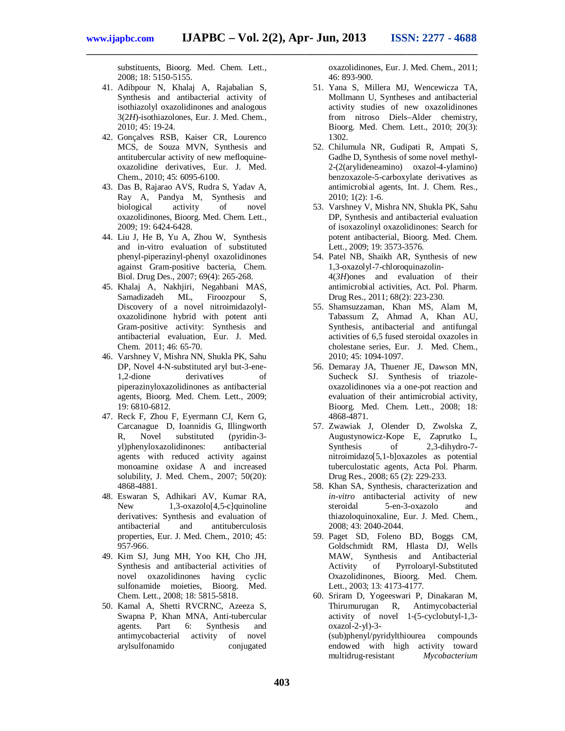substituents, Bioorg. Med. Chem. Lett., 2008; 18: 5150-5155.

- 41. Adibpour N, Khalaj A, Rajabalian S, Synthesis and antibacterial activity of isothiazolyl oxazolidinones and analogous 3(2*H*)-isothiazolones, Eur. J. Med. Chem., 2010; 45: 19-24.
- 42. Gonçalves RSB, Kaiser CR, Lourenco MCS, de Souza MVN, Synthesis and antitubercular activity of new mefloquineoxazolidine derivatives, Eur. J. Med. Chem., 2010; 45: 6095-6100.
- 43. Das B, Rajarao AVS, Rudra S, Yadav A, Ray A, Pandya M, Synthesis and biological activity of novel oxazolidinones, Bioorg. Med. Chem. Lett., 2009; 19: 6424-6428.
- 44. Liu J, He B, Yu A, Zhou W, Synthesis and in-vitro evaluation of substituted phenyl-piperazinyl-phenyl oxazolidinones against Gram-positive bacteria, Chem. Biol. Drug Des., 2007; 69(4): 265-268.
- 45. Khalaj A, Nakhjiri, Negahbani MAS, Samadizadeh ML, Firoozpour S, Discovery of a novel nitroimidazolyloxazolidinone hybrid with potent anti Gram-positive activity: Synthesis and antibacterial evaluation, Eur. J. Med. Chem. 2011; 46: 65-70.
- 46. Varshney V, Mishra NN, Shukla PK, Sahu DP, Novel 4-N-substituted aryl but-3-ene-1,2-dione derivatives of piperazinyloxazolidinones as antibacterial agents, Bioorg. Med. Chem. Lett., 2009; 19: 6810-6812.
- 47. Reck F, Zhou F, Eyermann CJ, Kern G, Carcanague D, Ioannidis G, Illingworth<br>R, Novel substituted (pyridin-3-R, Novel substituted (pyridin-3 yl)phenyloxazolidinones: antibacterial agents with reduced activity against monoamine oxidase A and increased solubility, J. Med. Chem., 2007; 50(20): 4868-4881.
- 48. Eswaran S, Adhikari AV, Kumar RA, New 1,3-oxazolo[4,5-c]quinoline derivatives: Synthesis and evaluation of antibacterial and antituberculosis properties, Eur. J. Med. Chem., 2010; 45: 957-966.
- 49. Kim SJ, Jung MH, Yoo KH, Cho JH, Synthesis and antibacterial activities of novel oxazolidinones having cyclic sulfonamide moieties, Bioorg. Med. Chem. Lett., 2008; 18: 5815-5818.
- 50. Kamal A, Shetti RVCRNC, Azeeza S, Swapna P, Khan MNA, Anti-tubercular agents. Part 6: Synthesis and antimycobacterial activity of novel arylsulfonamido conjugated

oxazolidinones, Eur. J. Med. Chem., 2011; 46: 893-900.

- 51. Yana S, Millera MJ, Wencewicza TA, Mollmann U, Syntheses and antibacterial activity studies of new oxazolidinones from nitroso Diels–Alder chemistry, Bioorg. Med. Chem. Lett., 2010; 20(3): 1302.
- 52. Chilumula NR, Gudipati R, Ampati S, Gadhe D, Synthesis of some novel methyl-2-(2(arylideneamino) oxazol-4-ylamino) benzoxazole-5-carboxylate derivatives as antimicrobial agents, Int. J. Chem. Res., 2010; 1(2): 1-6.
- 53. Varshney V, Mishra NN, Shukla PK, Sahu DP, Synthesis and antibacterial evaluation of isoxazolinyl oxazolidinones: Search for potent antibacterial, Bioorg. Med. Chem. Lett., 2009; 19: 3573-3576.
- 54. Patel NB, Shaikh AR, Synthesis of new 1,3-oxazolyl-7-chloroquinazolin-4(*3H*)ones and evaluation of their antimicrobial activities, Act. Pol. Pharm. Drug Res., 2011; 68(2): 223-230.
- 55. Shamsuzzaman, Khan MS, Alam M, Tabassum Z, Ahmad A, Khan AU, Synthesis, antibacterial and antifungal activities of 6,5 fused steroidal oxazoles in cholestane series, Eur. J. Med. Chem., 2010; 45: 1094-1097.
- 56. Demaray JA, Thuener JE, Dawson MN, Sucheck SJ. Synthesis of triazoleoxazolidinones via a one-pot reaction and evaluation of their antimicrobial activity, Bioorg. Med. Chem. Lett., 2008; 18: 4868-4871.
- 57. Zwawiak J, Olender D, Zwolska Z, Augustynowicz-Kope E, Zaprutko L, Synthesis of 2,3-dihydro-7nitroimidazo[5,1-b]oxazoles as potential tuberculostatic agents, Acta Pol. Pharm. Drug Res., 2008; 65 (2): 229-233.
- 58. Khan SA, Synthesis, characterization and *in-vitro* antibacterial activity of new steroidal 5-en-3-oxazolo and thiazoloquinoxaline, Eur. J. Med. Chem., 2008; 43: 2040-2044.
- 59. Paget SD, Foleno BD, Boggs CM, Goldschmidt RM, Hlasta DJ, Wells MAW, Synthesis and Antibacterial Activity of Pyrroloaryl-Substituted Oxazolidinones, Bioorg. Med. Chem. Lett., 2003; 13: 4173-4177.
- 60. Sriram D, Yogeeswari P, Dinakaran M, Thirumurugan R, Antimycobacterial activity of novel 1-(5-cyclobutyl-1,3 oxazol-2-yl)-3- (sub)phenyl/pyridylthiourea compounds endowed with high activity toward multidrug-resistant *Mycobacterium*